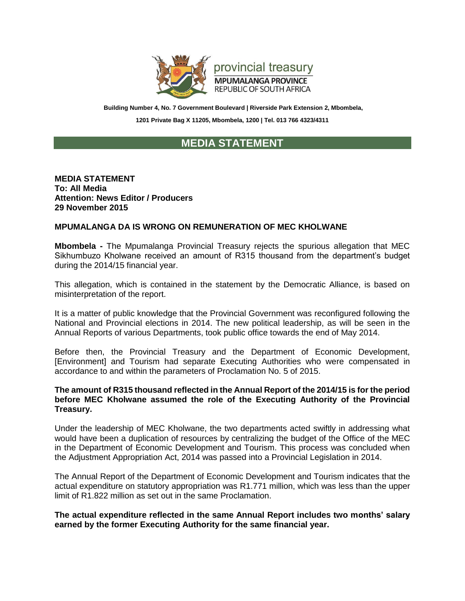

**Building Number 4, No. 7 Government Boulevard | Riverside Park Extension 2, Mbombela, 1201 Private Bag X 11205, Mbombela, 1200 | Tel. 013 766 4323/4311**

## **MEDIA STATEMENT**

## **MEDIA STATEMENT To: All Media Attention: News Editor / Producers 29 November 2015**

## **MPUMALANGA DA IS WRONG ON REMUNERATION OF MEC KHOLWANE**

**Mbombela -** The Mpumalanga Provincial Treasury rejects the spurious allegation that MEC Sikhumbuzo Kholwane received an amount of R315 thousand from the department's budget during the 2014/15 financial year.

This allegation, which is contained in the statement by the Democratic Alliance, is based on misinterpretation of the report.

It is a matter of public knowledge that the Provincial Government was reconfigured following the National and Provincial elections in 2014. The new political leadership, as will be seen in the Annual Reports of various Departments, took public office towards the end of May 2014.

Before then, the Provincial Treasury and the Department of Economic Development, [Environment] and Tourism had separate Executing Authorities who were compensated in accordance to and within the parameters of Proclamation No. 5 of 2015.

## **The amount of R315 thousand reflected in the Annual Report of the 2014/15 is for the period before MEC Kholwane assumed the role of the Executing Authority of the Provincial Treasury.**

Under the leadership of MEC Kholwane, the two departments acted swiftly in addressing what would have been a duplication of resources by centralizing the budget of the Office of the MEC in the Department of Economic Development and Tourism. This process was concluded when the Adjustment Appropriation Act, 2014 was passed into a Provincial Legislation in 2014.

The Annual Report of the Department of Economic Development and Tourism indicates that the actual expenditure on statutory appropriation was R1.771 million, which was less than the upper limit of R1.822 million as set out in the same Proclamation.

**The actual expenditure reflected in the same Annual Report includes two months' salary earned by the former Executing Authority for the same financial year.**